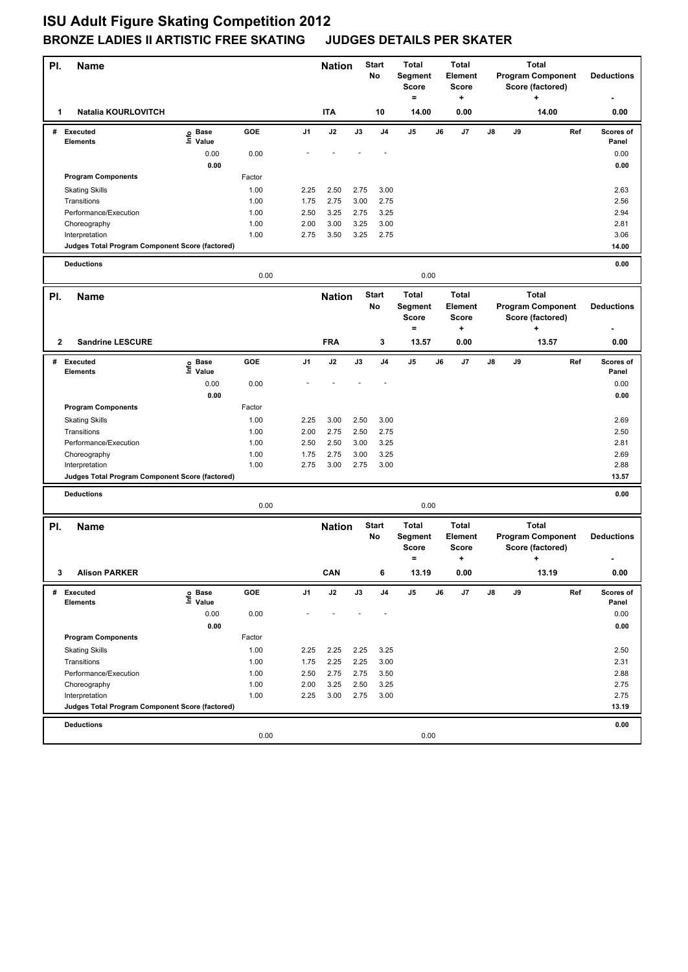| PI.          | Name                                                              |                       |              |                | <b>Nation</b> |               | Start<br>No        | <b>Total</b><br>Segment<br>Score<br>$=$ |    | <b>Total</b><br>Element<br><b>Score</b><br>+ |    | <b>Total</b><br><b>Program Component</b><br>Score (factored)<br>÷ |                       | <b>Deductions</b>        |                    |
|--------------|-------------------------------------------------------------------|-----------------------|--------------|----------------|---------------|---------------|--------------------|-----------------------------------------|----|----------------------------------------------|----|-------------------------------------------------------------------|-----------------------|--------------------------|--------------------|
| 1            | <b>Natalia KOURLOVITCH</b>                                        |                       |              |                | <b>ITA</b>    |               | 10                 | 14.00                                   |    | 0.00                                         |    |                                                                   | 14.00                 |                          | 0.00               |
| #            | <b>Executed</b><br><b>Elements</b>                                | e Base<br>⊑ Value     | GOE          | J1             | J2            | J3            | J <sub>4</sub>     | J5                                      | J6 | J7                                           | J8 | J9                                                                |                       | Ref                      | Scores of<br>Panel |
|              |                                                                   | 0.00                  | 0.00         |                |               |               |                    |                                         |    |                                              |    |                                                                   |                       |                          | 0.00               |
|              |                                                                   | 0.00                  |              |                |               |               |                    |                                         |    |                                              |    |                                                                   |                       |                          | 0.00               |
|              | <b>Program Components</b>                                         |                       | Factor       |                |               |               |                    |                                         |    |                                              |    |                                                                   |                       |                          |                    |
|              | <b>Skating Skills</b>                                             |                       | 1.00         | 2.25           | 2.50          | 2.75          | 3.00               |                                         |    |                                              |    |                                                                   |                       |                          | 2.63               |
|              | Transitions                                                       |                       | 1.00         | 1.75           | 2.75          | 3.00          | 2.75               |                                         |    |                                              |    |                                                                   |                       |                          | 2.56               |
|              | Performance/Execution                                             |                       | 1.00         | 2.50           | 3.25          | 2.75          | 3.25               |                                         |    |                                              |    |                                                                   |                       |                          | 2.94               |
|              | Choreography                                                      |                       | 1.00<br>1.00 | 2.00<br>2.75   | 3.00<br>3.50  | 3.25<br>3.25  | 3.00<br>2.75       |                                         |    |                                              |    |                                                                   |                       |                          | 2.81<br>3.06       |
|              | Interpretation<br>Judges Total Program Component Score (factored) |                       |              |                |               |               |                    |                                         |    |                                              |    |                                                                   |                       |                          | 14.00              |
|              |                                                                   |                       |              |                |               |               |                    |                                         |    |                                              |    |                                                                   |                       |                          |                    |
|              | <b>Deductions</b>                                                 |                       | 0.00         |                |               |               |                    | 0.00                                    |    |                                              |    |                                                                   |                       |                          | 0.00               |
|              |                                                                   |                       |              |                |               |               | <b>Start</b>       | <b>Total</b>                            |    | <b>Total</b>                                 |    |                                                                   | <b>Total</b>          |                          |                    |
| PI.          | <b>Name</b>                                                       |                       |              |                | <b>Nation</b> |               | No                 | Segment<br><b>Score</b><br>$=$          |    | <b>Element</b><br><b>Score</b><br>+          |    |                                                                   | Score (factored)<br>+ | <b>Program Component</b> | <b>Deductions</b>  |
| $\mathbf{2}$ | <b>Sandrine LESCURE</b>                                           |                       |              |                | <b>FRA</b>    |               | 3                  | 13.57                                   |    | 0.00                                         |    |                                                                   | 13.57                 |                          | 0.00               |
|              | # Executed<br><b>Elements</b>                                     | Base<br>١nfo<br>Value | GOE          | J <sub>1</sub> | J2            | J3            | J <sub>4</sub>     | J5                                      | J6 | J7                                           | J8 | J9                                                                |                       | Ref                      | Scores of<br>Panel |
|              |                                                                   | 0.00                  | 0.00         |                |               |               |                    |                                         |    |                                              |    |                                                                   |                       |                          | 0.00               |
|              |                                                                   | 0.00                  |              |                |               |               |                    |                                         |    |                                              |    |                                                                   |                       |                          | 0.00               |
|              | <b>Program Components</b>                                         |                       | Factor       |                |               |               |                    |                                         |    |                                              |    |                                                                   |                       |                          |                    |
|              | <b>Skating Skills</b>                                             |                       | 1.00         | 2.25           | 3.00          | 2.50          | 3.00               |                                         |    |                                              |    |                                                                   |                       |                          | 2.69               |
|              | Transitions                                                       |                       | 1.00         | 2.00           | 2.75          | 2.50          | 2.75               |                                         |    |                                              |    |                                                                   |                       |                          | 2.50               |
|              | Performance/Execution                                             |                       | 1.00         | 2.50           | 2.50          | 3.00          | 3.25               |                                         |    |                                              |    |                                                                   |                       |                          | 2.81               |
|              | Choreography                                                      |                       | 1.00         | 1.75           | 2.75          | 3.00          | 3.25               |                                         |    |                                              |    |                                                                   |                       |                          | 2.69               |
|              | Interpretation<br>Judges Total Program Component Score (factored) |                       | 1.00         | 2.75           | 3.00          | 2.75          | 3.00               |                                         |    |                                              |    |                                                                   |                       |                          | 2.88<br>13.57      |
|              |                                                                   |                       |              |                |               |               |                    |                                         |    |                                              |    |                                                                   |                       |                          |                    |
|              | <b>Deductions</b>                                                 |                       | 0.00         |                |               |               |                    | 0.00                                    |    |                                              |    |                                                                   |                       |                          | 0.00               |
|              |                                                                   |                       |              |                |               |               |                    | <b>Total</b>                            |    | <b>Total</b>                                 |    |                                                                   | <b>Total</b>          |                          |                    |
| PI.          | Name                                                              |                       |              |                | <b>Nation</b> |               | <b>Start</b><br>No | Segment<br><b>Score</b><br>$\equiv$     |    | Element<br>Score<br>٠                        |    |                                                                   | Score (factored)<br>+ | <b>Program Component</b> | <b>Deductions</b>  |
| 3            | <b>Alison PARKER</b>                                              |                       |              |                | CAN           |               |                    | 13.19                                   |    | 0.00                                         |    |                                                                   | 13.19                 |                          | 0.00               |
| #            | <b>Executed</b><br>Elements                                       | e Base<br>⊑ Value     | GOE          | J1             | $\mathsf{J2}$ | $\mathsf{J3}$ | J4                 | J5                                      | J6 | J7                                           | J8 | J9                                                                |                       | Ref                      | Scores of<br>Panel |
|              |                                                                   | 0.00                  | 0.00         |                |               |               |                    |                                         |    |                                              |    |                                                                   |                       |                          | 0.00               |
|              |                                                                   | 0.00                  |              |                |               |               |                    |                                         |    |                                              |    |                                                                   |                       |                          | 0.00               |
|              | <b>Program Components</b>                                         |                       | Factor       |                |               |               |                    |                                         |    |                                              |    |                                                                   |                       |                          |                    |
|              | <b>Skating Skills</b>                                             |                       | 1.00         | 2.25           | 2.25          | 2.25          | 3.25               |                                         |    |                                              |    |                                                                   |                       |                          | 2.50               |
|              | Transitions                                                       |                       | 1.00         | 1.75           | 2.25          | 2.25          | 3.00               |                                         |    |                                              |    |                                                                   |                       |                          | 2.31               |
|              | Performance/Execution                                             |                       | 1.00         | 2.50           | 2.75          | 2.75          | 3.50               |                                         |    |                                              |    |                                                                   |                       |                          | 2.88               |
|              | Choreography                                                      |                       | 1.00         | 2.00           | 3.25          | 2.50          | 3.25               |                                         |    |                                              |    |                                                                   |                       |                          | 2.75               |
|              | Interpretation                                                    |                       | 1.00         | 2.25           | 3.00          | 2.75          | 3.00               |                                         |    |                                              |    |                                                                   |                       |                          | 2.75               |
|              | Judges Total Program Component Score (factored)                   |                       |              |                |               |               |                    |                                         |    |                                              |    |                                                                   |                       |                          | 13.19              |
|              | <b>Deductions</b>                                                 |                       |              |                |               |               |                    |                                         |    |                                              |    |                                                                   |                       |                          | 0.00               |
|              |                                                                   |                       | 0.00         |                |               |               |                    | 0.00                                    |    |                                              |    |                                                                   |                       |                          |                    |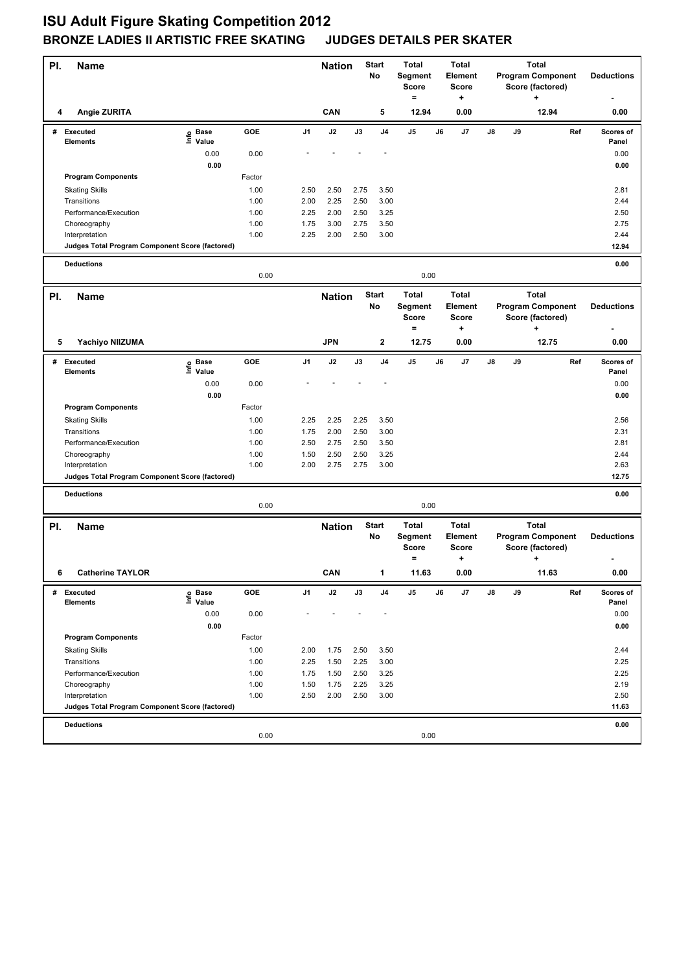| PI. | <b>Name</b>                                                       |                   |              |                | <b>Nation</b> |              | Start<br>No        | <b>Total</b><br>Segment<br><b>Score</b><br>$=$               |    | <b>Total</b><br>Element<br><b>Score</b><br>+ |    | <b>Total</b><br><b>Program Component</b><br>Score (factored)<br>÷ |                                       | <b>Deductions</b>        |                    |
|-----|-------------------------------------------------------------------|-------------------|--------------|----------------|---------------|--------------|--------------------|--------------------------------------------------------------|----|----------------------------------------------|----|-------------------------------------------------------------------|---------------------------------------|--------------------------|--------------------|
| 4   | Angie ZURITA                                                      |                   |              |                | CAN           |              | 5                  | 12.94                                                        |    | 0.00                                         |    |                                                                   | 12.94                                 |                          | 0.00               |
|     | # Executed<br><b>Elements</b>                                     | e Base<br>⊑ Value | GOE          | J <sub>1</sub> | J2            | J3           | J <sub>4</sub>     | J5                                                           | J6 | J7                                           | J8 | J9                                                                |                                       | Ref                      | Scores of<br>Panel |
|     |                                                                   | 0.00              | 0.00         |                |               |              |                    |                                                              |    |                                              |    |                                                                   |                                       |                          | 0.00               |
|     |                                                                   | 0.00              |              |                |               |              |                    |                                                              |    |                                              |    |                                                                   |                                       |                          | 0.00               |
|     | <b>Program Components</b>                                         |                   | Factor       |                |               |              |                    |                                                              |    |                                              |    |                                                                   |                                       |                          |                    |
|     | <b>Skating Skills</b>                                             |                   | 1.00         | 2.50           | 2.50          | 2.75         | 3.50               |                                                              |    |                                              |    |                                                                   |                                       |                          | 2.81               |
|     | Transitions                                                       |                   | 1.00         | 2.00           | 2.25          | 2.50         | 3.00               |                                                              |    |                                              |    |                                                                   |                                       |                          | 2.44               |
|     | Performance/Execution                                             |                   | 1.00         | 2.25           | 2.00          | 2.50         | 3.25               |                                                              |    |                                              |    |                                                                   |                                       |                          | 2.50               |
|     | Choreography                                                      |                   | 1.00         | 1.75           | 3.00          | 2.75         | 3.50               |                                                              |    |                                              |    |                                                                   |                                       |                          | 2.75               |
|     | Interpretation<br>Judges Total Program Component Score (factored) |                   | 1.00         | 2.25           | 2.00          | 2.50         | 3.00               |                                                              |    |                                              |    |                                                                   |                                       |                          | 2.44<br>12.94      |
|     |                                                                   |                   |              |                |               |              |                    |                                                              |    |                                              |    |                                                                   |                                       |                          |                    |
|     | <b>Deductions</b>                                                 |                   | 0.00         |                |               |              |                    | 0.00                                                         |    |                                              |    |                                                                   |                                       |                          | 0.00               |
| PI. | <b>Name</b>                                                       |                   |              |                | <b>Nation</b> |              | <b>Start</b>       | <b>Total</b>                                                 |    | <b>Total</b>                                 |    |                                                                   | <b>Total</b>                          |                          |                    |
|     |                                                                   |                   |              |                |               |              | No                 | Segment<br><b>Score</b><br>$=$                               |    | Element<br><b>Score</b><br>+                 |    |                                                                   | Score (factored)<br>+                 | <b>Program Component</b> | <b>Deductions</b>  |
| 5   | Yachiyo NIIZUMA                                                   |                   |              |                | <b>JPN</b>    |              | 2                  | 12.75                                                        |    | 0.00                                         |    |                                                                   | 12.75                                 |                          | 0.00               |
| #   | <b>Executed</b>                                                   | e Base<br>E Value | <b>GOE</b>   | J1             | J2            | J3           | J4                 | J5                                                           | J6 | J7                                           | J8 | J9                                                                |                                       | Ref                      | Scores of          |
|     | <b>Elements</b>                                                   | Value             |              |                |               |              |                    |                                                              |    |                                              |    |                                                                   |                                       |                          | Panel              |
|     |                                                                   | 0.00              | 0.00         |                |               |              |                    |                                                              |    |                                              |    |                                                                   |                                       |                          | 0.00               |
|     |                                                                   | 0.00              |              |                |               |              |                    |                                                              |    |                                              |    |                                                                   |                                       |                          | 0.00               |
|     | <b>Program Components</b>                                         |                   | Factor       |                |               |              | 3.50               |                                                              |    |                                              |    |                                                                   |                                       |                          |                    |
|     | <b>Skating Skills</b><br>Transitions                              |                   | 1.00<br>1.00 | 2.25<br>1.75   | 2.25<br>2.00  | 2.25<br>2.50 | 3.00               |                                                              |    |                                              |    |                                                                   |                                       |                          | 2.56<br>2.31       |
|     | Performance/Execution                                             |                   | 1.00         | 2.50           | 2.75          | 2.50         | 3.50               |                                                              |    |                                              |    |                                                                   |                                       |                          | 2.81               |
|     | Choreography                                                      |                   | 1.00         | 1.50           | 2.50          | 2.50         | 3.25               |                                                              |    |                                              |    |                                                                   |                                       |                          | 2.44               |
|     | Interpretation                                                    |                   | 1.00         | 2.00           | 2.75          | 2.75         | 3.00               |                                                              |    |                                              |    |                                                                   |                                       |                          | 2.63               |
|     | Judges Total Program Component Score (factored)                   |                   |              |                |               |              |                    |                                                              |    |                                              |    |                                                                   |                                       |                          | 12.75              |
|     | <b>Deductions</b>                                                 |                   |              |                |               |              |                    |                                                              |    |                                              |    |                                                                   |                                       |                          | 0.00               |
|     |                                                                   |                   | 0.00         |                |               |              |                    | 0.00                                                         |    |                                              |    |                                                                   |                                       |                          |                    |
| PI. | Name                                                              |                   |              |                | <b>Nation</b> |              | <b>Start</b><br>No | <b>Total</b><br>Segment<br><b>Score</b><br>$\qquad \qquad =$ |    | <b>Total</b><br>Element<br><b>Score</b><br>٠ |    |                                                                   | <b>Total</b><br>Score (factored)<br>+ | <b>Program Component</b> | <b>Deductions</b>  |
| 6   | <b>Catherine TAYLOR</b>                                           |                   |              |                | CAN           |              |                    | 11.63                                                        |    | 0.00                                         |    |                                                                   |                                       | 11.63                    | 0.00               |
| #   | Executed                                                          | e Base<br>⊑ Value | GOE          | J1             | $\mathsf{J2}$ | J3           | J4                 | J5                                                           | J6 | J7                                           | J8 | J9                                                                |                                       | Ref                      | Scores of          |
|     | Elements                                                          |                   |              |                |               |              |                    |                                                              |    |                                              |    |                                                                   |                                       |                          | Panel              |
|     |                                                                   | 0.00              | 0.00         |                |               |              |                    |                                                              |    |                                              |    |                                                                   |                                       |                          | 0.00               |
|     | <b>Program Components</b>                                         | 0.00              | Factor       |                |               |              |                    |                                                              |    |                                              |    |                                                                   |                                       |                          | 0.00               |
|     |                                                                   |                   | 1.00         |                |               |              |                    |                                                              |    |                                              |    |                                                                   |                                       |                          |                    |
|     | <b>Skating Skills</b><br>Transitions                              |                   | 1.00         | 2.00<br>2.25   | 1.75<br>1.50  | 2.50<br>2.25 | 3.50<br>3.00       |                                                              |    |                                              |    |                                                                   |                                       |                          | 2.44<br>2.25       |
|     | Performance/Execution                                             |                   | 1.00         | 1.75           | 1.50          | 2.50         | 3.25               |                                                              |    |                                              |    |                                                                   |                                       |                          | 2.25               |
|     | Choreography                                                      |                   | 1.00         | 1.50           | 1.75          | 2.25         | 3.25               |                                                              |    |                                              |    |                                                                   |                                       |                          | 2.19               |
|     | Interpretation                                                    |                   | 1.00         | 2.50           | 2.00          | 2.50         | 3.00               |                                                              |    |                                              |    |                                                                   |                                       |                          | 2.50               |
|     | Judges Total Program Component Score (factored)                   |                   |              |                |               |              |                    |                                                              |    |                                              |    |                                                                   |                                       |                          | 11.63              |
|     | <b>Deductions</b>                                                 |                   |              |                |               |              |                    |                                                              |    |                                              |    |                                                                   |                                       |                          | 0.00               |
|     |                                                                   |                   | 0.00         |                |               |              |                    | 0.00                                                         |    |                                              |    |                                                                   |                                       |                          |                    |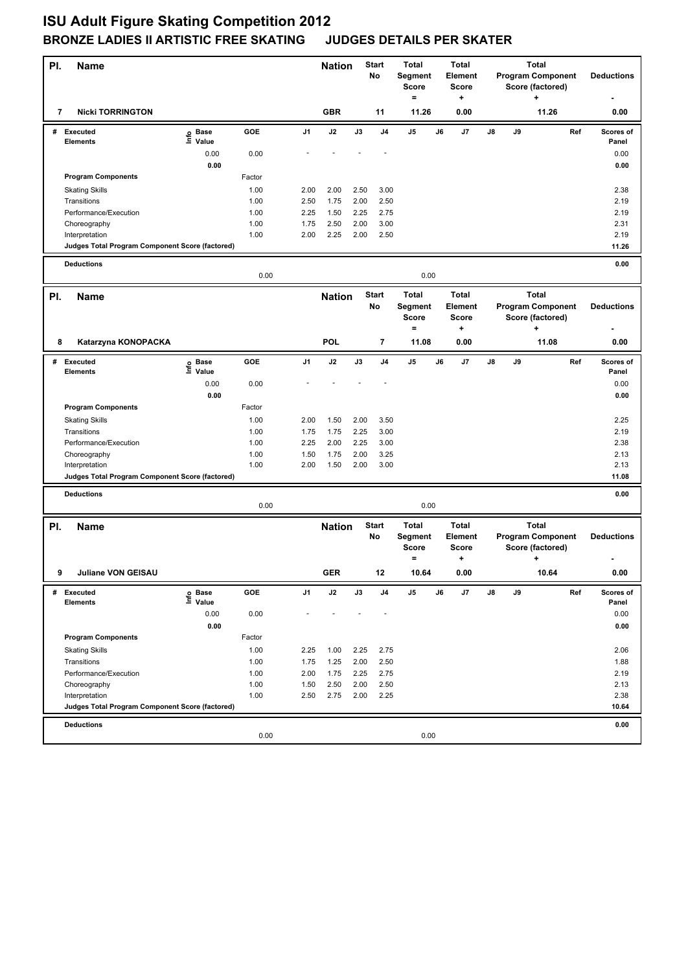| PI. | <b>Name</b>                                                       |                   |              |                | <b>Nation</b> |              | Start<br>No        | <b>Total</b><br>Segment<br><b>Score</b><br>$=$ |    | <b>Total</b><br>Element<br><b>Score</b><br>+ | <b>Total</b><br><b>Program Component</b><br>Score (factored)<br>÷ |    | <b>Deductions</b>                                                 |     |                    |
|-----|-------------------------------------------------------------------|-------------------|--------------|----------------|---------------|--------------|--------------------|------------------------------------------------|----|----------------------------------------------|-------------------------------------------------------------------|----|-------------------------------------------------------------------|-----|--------------------|
| 7   | <b>Nicki TORRINGTON</b>                                           |                   |              |                | <b>GBR</b>    |              | 11                 | 11.26                                          |    | 0.00                                         |                                                                   |    | 11.26                                                             |     | 0.00               |
|     | # Executed<br><b>Elements</b>                                     | e Base<br>⊑ Value | GOE          | J <sub>1</sub> | J2            | J3           | J <sub>4</sub>     | J5                                             | J6 | J7                                           | J8                                                                | J9 |                                                                   | Ref | Scores of<br>Panel |
|     |                                                                   | 0.00              | 0.00         |                |               |              |                    |                                                |    |                                              |                                                                   |    |                                                                   |     | 0.00               |
|     |                                                                   | 0.00              |              |                |               |              |                    |                                                |    |                                              |                                                                   |    |                                                                   |     | 0.00               |
|     | <b>Program Components</b>                                         |                   | Factor       |                |               |              |                    |                                                |    |                                              |                                                                   |    |                                                                   |     |                    |
|     | <b>Skating Skills</b><br>Transitions                              |                   | 1.00<br>1.00 | 2.00<br>2.50   | 2.00<br>1.75  | 2.50<br>2.00 | 3.00<br>2.50       |                                                |    |                                              |                                                                   |    |                                                                   |     | 2.38<br>2.19       |
|     | Performance/Execution                                             |                   | 1.00         | 2.25           | 1.50          | 2.25         | 2.75               |                                                |    |                                              |                                                                   |    |                                                                   |     | 2.19               |
|     | Choreography                                                      |                   | 1.00         | 1.75           | 2.50          | 2.00         | 3.00               |                                                |    |                                              |                                                                   |    |                                                                   |     | 2.31               |
|     | Interpretation                                                    |                   | 1.00         | 2.00           | 2.25          | 2.00         | 2.50               |                                                |    |                                              |                                                                   |    |                                                                   |     | 2.19               |
|     | Judges Total Program Component Score (factored)                   |                   |              |                |               |              |                    |                                                |    |                                              |                                                                   |    |                                                                   |     | 11.26              |
|     | <b>Deductions</b>                                                 |                   | 0.00         |                |               |              |                    | 0.00                                           |    |                                              |                                                                   |    |                                                                   |     | 0.00               |
|     |                                                                   |                   |              |                |               |              |                    |                                                |    |                                              |                                                                   |    |                                                                   |     |                    |
| PI. | <b>Name</b>                                                       |                   |              |                | <b>Nation</b> |              | <b>Start</b><br>No | <b>Total</b><br>Segment<br><b>Score</b><br>$=$ |    | <b>Total</b><br>Element<br><b>Score</b><br>+ |                                                                   |    | <b>Total</b><br><b>Program Component</b><br>Score (factored)<br>+ |     | <b>Deductions</b>  |
| 8   | Katarzyna KONOPACKA                                               |                   |              |                | POL           |              | 7                  | 11.08                                          |    | 0.00                                         |                                                                   |    | 11.08                                                             |     | 0.00               |
| #   | <b>Executed</b>                                                   | e Base<br>E Value | <b>GOE</b>   | J1             | J2            | J3           | J4                 | J5                                             | J6 | J7                                           | J8                                                                | J9 |                                                                   | Ref | Scores of          |
|     | <b>Elements</b>                                                   | Value<br>0.00     | 0.00         |                |               |              |                    |                                                |    |                                              |                                                                   |    |                                                                   |     | Panel<br>0.00      |
|     |                                                                   | 0.00              |              |                |               |              |                    |                                                |    |                                              |                                                                   |    |                                                                   |     | 0.00               |
|     | <b>Program Components</b>                                         |                   | Factor       |                |               |              |                    |                                                |    |                                              |                                                                   |    |                                                                   |     |                    |
|     | <b>Skating Skills</b>                                             |                   | 1.00         | 2.00           | 1.50          | 2.00         | 3.50               |                                                |    |                                              |                                                                   |    |                                                                   |     | 2.25               |
|     | Transitions                                                       |                   | 1.00         | 1.75           | 1.75          | 2.25         | 3.00               |                                                |    |                                              |                                                                   |    |                                                                   |     | 2.19               |
|     | Performance/Execution                                             |                   | 1.00         | 2.25           | 2.00          | 2.25         | 3.00               |                                                |    |                                              |                                                                   |    |                                                                   |     | 2.38               |
|     | Choreography                                                      |                   | 1.00         | 1.50           | 1.75          | 2.00         | 3.25               |                                                |    |                                              |                                                                   |    |                                                                   |     | 2.13               |
|     | Interpretation<br>Judges Total Program Component Score (factored) |                   | 1.00         | 2.00           | 1.50          | 2.00         | 3.00               |                                                |    |                                              |                                                                   |    |                                                                   |     | 2.13<br>11.08      |
|     |                                                                   |                   |              |                |               |              |                    |                                                |    |                                              |                                                                   |    |                                                                   |     |                    |
|     | <b>Deductions</b>                                                 |                   | 0.00         |                |               |              |                    | 0.00                                           |    |                                              |                                                                   |    |                                                                   |     | 0.00               |
| PI. | Name                                                              |                   |              |                | <b>Nation</b> |              | Start              | <b>Total</b>                                   |    | <b>Total</b>                                 |                                                                   |    | <b>Total</b>                                                      |     |                    |
|     |                                                                   |                   |              |                |               |              | No                 | Segment<br><b>Score</b><br>$\qquad \qquad =$   |    | Element<br><b>Score</b><br>٠                 |                                                                   |    | <b>Program Component</b><br>Score (factored)<br>+                 |     | <b>Deductions</b>  |
| 9   | Juliane VON GEISAU                                                |                   |              |                | <b>GER</b>    |              | 12                 | 10.64                                          |    | 0.00                                         |                                                                   |    | 10.64                                                             |     | 0.00               |
| #   | Executed<br>Elements                                              | e Base<br>⊑ Value | GOE          | J1             | $\mathsf{J2}$ | J3           | J4                 | J5                                             | J6 | J7                                           | J8                                                                | J9 |                                                                   | Ref | Scores of<br>Panel |
|     |                                                                   | 0.00<br>0.00      | 0.00         |                |               |              |                    |                                                |    |                                              |                                                                   |    |                                                                   |     | 0.00<br>0.00       |
|     | <b>Program Components</b>                                         |                   | Factor       |                |               |              |                    |                                                |    |                                              |                                                                   |    |                                                                   |     |                    |
|     | <b>Skating Skills</b>                                             |                   | 1.00         | 2.25           | 1.00          | 2.25         | 2.75               |                                                |    |                                              |                                                                   |    |                                                                   |     | 2.06               |
|     | Transitions                                                       |                   | 1.00         | 1.75           | 1.25          | 2.00         | 2.50               |                                                |    |                                              |                                                                   |    |                                                                   |     | 1.88               |
|     | Performance/Execution                                             |                   | 1.00         | 2.00           | 1.75          | 2.25         | 2.75               |                                                |    |                                              |                                                                   |    |                                                                   |     | 2.19               |
|     | Choreography                                                      |                   | 1.00         | 1.50           | 2.50          | 2.00         | 2.50               |                                                |    |                                              |                                                                   |    |                                                                   |     | 2.13               |
|     | Interpretation<br>Judges Total Program Component Score (factored) |                   | 1.00         | 2.50           | 2.75          | 2.00         | 2.25               |                                                |    |                                              |                                                                   |    |                                                                   |     | 2.38<br>10.64      |
|     |                                                                   |                   |              |                |               |              |                    |                                                |    |                                              |                                                                   |    |                                                                   |     |                    |
|     | <b>Deductions</b>                                                 |                   |              |                |               |              |                    |                                                |    |                                              |                                                                   |    |                                                                   |     | 0.00               |
|     |                                                                   |                   | 0.00         |                |               |              |                    | 0.00                                           |    |                                              |                                                                   |    |                                                                   |     |                    |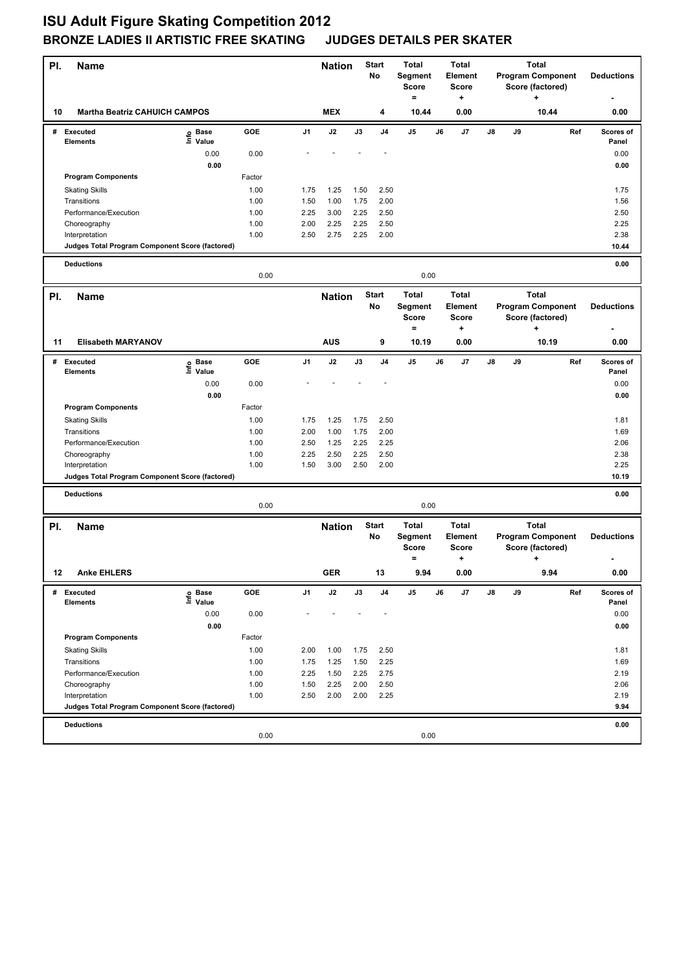| PI. | <b>Name</b>                                                       |                                  |              |              | <b>Nation</b> |               | <b>Start</b><br>No | <b>Total</b><br>Segment<br><b>Score</b><br>$\equiv$ |    | <b>Total</b><br>Element<br><b>Score</b><br>٠ |    | <b>Total</b><br><b>Program Component</b><br>Score (factored)<br>٠ |                                                                   |     | <b>Deductions</b>  |
|-----|-------------------------------------------------------------------|----------------------------------|--------------|--------------|---------------|---------------|--------------------|-----------------------------------------------------|----|----------------------------------------------|----|-------------------------------------------------------------------|-------------------------------------------------------------------|-----|--------------------|
| 10  | <b>Martha Beatriz CAHUICH CAMPOS</b>                              |                                  |              |              | <b>MEX</b>    |               | 4                  | 10.44                                               |    | 0.00                                         |    |                                                                   | 10.44                                                             |     | 0.00               |
| #   | Executed<br><b>Elements</b>                                       | e Base<br>⊑ Value                | GOE          | J1           | J2            | J3            | J <sub>4</sub>     | J5                                                  | J6 | J7                                           | J8 | J9                                                                |                                                                   | Ref | Scores of<br>Panel |
|     |                                                                   | 0.00                             | 0.00         |              |               |               |                    |                                                     |    |                                              |    |                                                                   |                                                                   |     | 0.00               |
|     |                                                                   | 0.00                             |              |              |               |               |                    |                                                     |    |                                              |    |                                                                   |                                                                   |     | 0.00               |
|     | <b>Program Components</b>                                         |                                  | Factor       |              |               |               |                    |                                                     |    |                                              |    |                                                                   |                                                                   |     |                    |
|     | <b>Skating Skills</b>                                             |                                  | 1.00         | 1.75         | 1.25          | 1.50          | 2.50               |                                                     |    |                                              |    |                                                                   |                                                                   |     | 1.75               |
|     | Transitions                                                       |                                  | 1.00         | 1.50         | 1.00          | 1.75          | 2.00               |                                                     |    |                                              |    |                                                                   |                                                                   |     | 1.56               |
|     | Performance/Execution                                             |                                  | 1.00         | 2.25         | 3.00          | 2.25<br>2.25  | 2.50<br>2.50       |                                                     |    |                                              |    |                                                                   |                                                                   |     | 2.50<br>2.25       |
|     | Choreography<br>Interpretation                                    |                                  | 1.00<br>1.00 | 2.00<br>2.50 | 2.25<br>2.75  | 2.25          | 2.00               |                                                     |    |                                              |    |                                                                   |                                                                   |     | 2.38               |
|     | Judges Total Program Component Score (factored)                   |                                  |              |              |               |               |                    |                                                     |    |                                              |    |                                                                   |                                                                   |     | 10.44              |
|     |                                                                   |                                  |              |              |               |               |                    |                                                     |    |                                              |    |                                                                   |                                                                   |     | 0.00               |
|     | <b>Deductions</b>                                                 |                                  | 0.00         |              |               |               |                    | 0.00                                                |    |                                              |    |                                                                   |                                                                   |     |                    |
| PI. | <b>Name</b>                                                       |                                  |              |              | <b>Nation</b> |               | <b>Start</b>       | <b>Total</b>                                        |    | <b>Total</b>                                 |    |                                                                   | <b>Total</b>                                                      |     |                    |
|     |                                                                   |                                  |              |              |               |               | No                 | Segment<br><b>Score</b><br>$=$                      |    | Element<br><b>Score</b><br>+                 |    |                                                                   | <b>Program Component</b><br>Score (factored)<br>٠                 |     | <b>Deductions</b>  |
| 11  | <b>Elisabeth MARYANOV</b>                                         |                                  |              |              | <b>AUS</b>    |               | 9                  | 10.19                                               |    | 0.00                                         |    |                                                                   | 10.19                                                             |     | 0.00               |
| #   | <b>Executed</b>                                                   | e Base<br>⊆ Value                | GOE          | J1           | J2            | $\mathsf{J3}$ | J4                 | J5                                                  | J6 | J7                                           | J8 | J9                                                                |                                                                   | Ref | Scores of          |
|     | <b>Elements</b>                                                   | 0.00                             | 0.00         |              |               |               |                    |                                                     |    |                                              |    |                                                                   |                                                                   |     | Panel<br>0.00      |
|     |                                                                   | 0.00                             |              |              |               |               |                    |                                                     |    |                                              |    |                                                                   |                                                                   |     | 0.00               |
|     | <b>Program Components</b>                                         |                                  | Factor       |              |               |               |                    |                                                     |    |                                              |    |                                                                   |                                                                   |     |                    |
|     | <b>Skating Skills</b>                                             |                                  | 1.00         | 1.75         | 1.25          | 1.75          | 2.50               |                                                     |    |                                              |    |                                                                   |                                                                   |     | 1.81               |
|     | Transitions                                                       |                                  | 1.00         | 2.00         | 1.00          | 1.75          | 2.00               |                                                     |    |                                              |    |                                                                   |                                                                   |     | 1.69               |
|     | Performance/Execution                                             |                                  | 1.00         | 2.50         | 1.25          | 2.25          | 2.25               |                                                     |    |                                              |    |                                                                   |                                                                   |     | 2.06               |
|     | Choreography                                                      |                                  | 1.00         | 2.25         | 2.50          | 2.25          | 2.50               |                                                     |    |                                              |    |                                                                   |                                                                   |     | 2.38               |
|     | Interpretation                                                    |                                  | 1.00         | 1.50         | 3.00          | 2.50          | 2.00               |                                                     |    |                                              |    |                                                                   |                                                                   |     | 2.25               |
|     | Judges Total Program Component Score (factored)                   |                                  |              |              |               |               |                    |                                                     |    |                                              |    |                                                                   |                                                                   |     | 10.19              |
|     | <b>Deductions</b>                                                 |                                  | 0.00         |              |               |               |                    | 0.00                                                |    |                                              |    |                                                                   |                                                                   |     | 0.00               |
|     |                                                                   |                                  |              |              |               |               |                    |                                                     |    |                                              |    |                                                                   |                                                                   |     |                    |
| PI. | <b>Name</b>                                                       |                                  |              |              | <b>Nation</b> |               | <b>Start</b><br>No | <b>Total</b><br>Segment<br>Score<br>$=$             |    | <b>Total</b><br>Element<br>Score<br>٠        |    |                                                                   | <b>Total</b><br><b>Program Component</b><br>Score (factored)<br>÷ |     | <b>Deductions</b>  |
| 12  | <b>Anke EHLERS</b>                                                |                                  |              |              | <b>GER</b>    |               | 13                 | 9.94                                                |    | 0.00                                         |    |                                                                   | 9.94                                                              |     | 0.00               |
| #   | <b>Executed</b><br><b>Elements</b>                                | <b>Base</b><br>e Base<br>⊑ Value | GOE          | J1           | J2            | J3            | J4                 | J5                                                  | J6 | J7                                           | J8 | J9                                                                |                                                                   | Ref | Scores of<br>Panel |
|     |                                                                   | 0.00                             | 0.00         |              |               |               |                    |                                                     |    |                                              |    |                                                                   |                                                                   |     | 0.00               |
|     |                                                                   | 0.00                             |              |              |               |               |                    |                                                     |    |                                              |    |                                                                   |                                                                   |     | 0.00               |
|     | <b>Program Components</b>                                         |                                  | Factor       |              |               |               |                    |                                                     |    |                                              |    |                                                                   |                                                                   |     |                    |
|     | <b>Skating Skills</b>                                             |                                  | 1.00         | 2.00         | 1.00          | 1.75          | 2.50               |                                                     |    |                                              |    |                                                                   |                                                                   |     | 1.81               |
|     | Transitions                                                       |                                  | 1.00         | 1.75         | 1.25          | 1.50          | 2.25               |                                                     |    |                                              |    |                                                                   |                                                                   |     | 1.69               |
|     | Performance/Execution                                             |                                  | 1.00         | 2.25         | 1.50          | 2.25          | 2.75               |                                                     |    |                                              |    |                                                                   |                                                                   |     | 2.19               |
|     | Choreography                                                      |                                  | 1.00         | 1.50         | 2.25          | 2.00          | 2.50               |                                                     |    |                                              |    |                                                                   |                                                                   |     | 2.06<br>2.19       |
|     | Interpretation<br>Judges Total Program Component Score (factored) |                                  | 1.00         | 2.50         | 2.00          | 2.00          | 2.25               |                                                     |    |                                              |    |                                                                   |                                                                   |     | 9.94               |
|     |                                                                   |                                  |              |              |               |               |                    |                                                     |    |                                              |    |                                                                   |                                                                   |     |                    |
|     | <b>Deductions</b>                                                 |                                  |              |              |               |               |                    |                                                     |    |                                              |    |                                                                   |                                                                   |     | 0.00               |
|     |                                                                   |                                  | 0.00         |              |               |               |                    | 0.00                                                |    |                                              |    |                                                                   |                                                                   |     |                    |